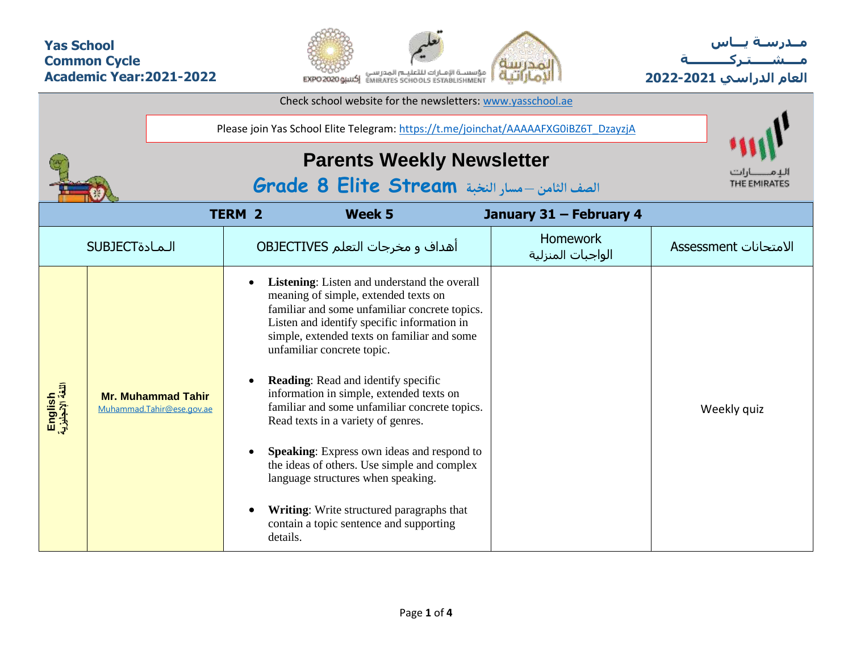## **Yas School Common Cycle Academic Year:2021-2022**



**مــدرسـة يـــاس مــــشـ ـــ ـتـ ركـ ــــــــــ ة العام الدراسي -2021 2022**

|                             | Please join Yas School Elite Telegram: https://t.me/joinchat/AAAAAFXG0iBZ6T_DzayzjA |                                                                                                                                                                                                                                                                                                                                                                                                                                                                                                                                                                                                                                                                                                               |                               |                       |
|-----------------------------|-------------------------------------------------------------------------------------|---------------------------------------------------------------------------------------------------------------------------------------------------------------------------------------------------------------------------------------------------------------------------------------------------------------------------------------------------------------------------------------------------------------------------------------------------------------------------------------------------------------------------------------------------------------------------------------------------------------------------------------------------------------------------------------------------------------|-------------------------------|-----------------------|
|                             | THE EMIRATES                                                                        |                                                                                                                                                                                                                                                                                                                                                                                                                                                                                                                                                                                                                                                                                                               |                               |                       |
|                             |                                                                                     | <b>TERM 2</b><br>Week 5                                                                                                                                                                                                                                                                                                                                                                                                                                                                                                                                                                                                                                                                                       | January 31 - February 4       |                       |
|                             | <b>SUBJECT</b>                                                                      | أهداف و مخرجات التعلم OBJECTIVES                                                                                                                                                                                                                                                                                                                                                                                                                                                                                                                                                                                                                                                                              | Homework<br>الواجبات المنزلية | الامتحانات Assessment |
| English<br>اللغة الإنجليزية | <b>Mr. Muhammad Tahir</b><br>Muhammad.Tahir@ese.gov.ae                              | Listening: Listen and understand the overall<br>meaning of simple, extended texts on<br>familiar and some unfamiliar concrete topics.<br>Listen and identify specific information in<br>simple, extended texts on familiar and some<br>unfamiliar concrete topic.<br><b>Reading:</b> Read and identify specific<br>$\bullet$<br>information in simple, extended texts on<br>familiar and some unfamiliar concrete topics.<br>Read texts in a variety of genres.<br><b>Speaking:</b> Express own ideas and respond to<br>the ideas of others. Use simple and complex<br>language structures when speaking.<br>Writing: Write structured paragraphs that<br>contain a topic sentence and supporting<br>details. |                               | Weekly quiz           |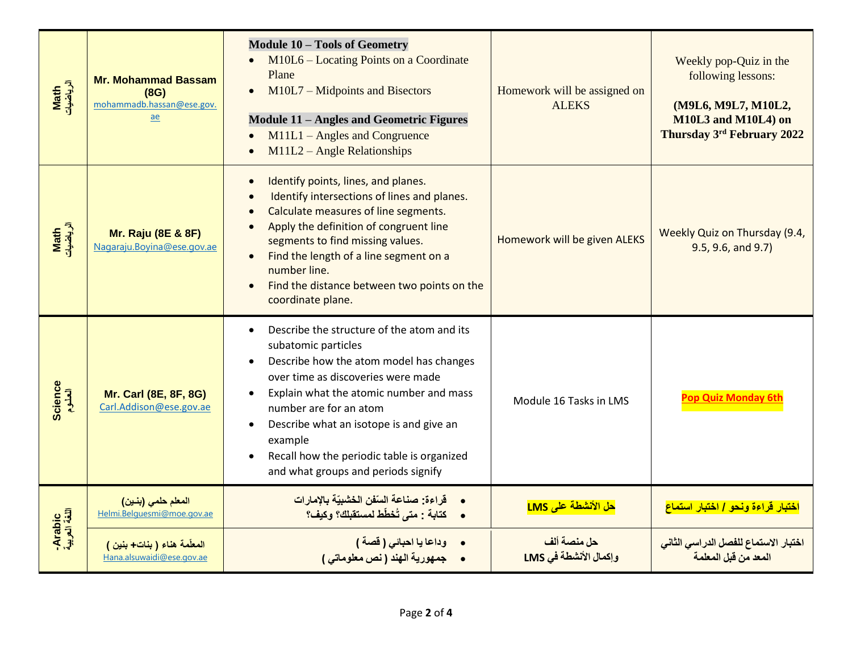| Math<br>الرياضيات       | <b>Mr. Mohammad Bassam</b><br>(8G)<br>mohammadb.hassan@ese.gov.<br>ae | <b>Module 10 - Tools of Geometry</b><br>M10L6 – Locating Points on a Coordinate<br>Plane<br>$M10L7 - Midpoints$ and Bisectors<br>$\bullet$<br><b>Module 11 – Angles and Geometric Figures</b><br>M11L1 - Angles and Congruence<br>$\bullet$<br>$M11L2 - Angle Relations$                                                                                                                                               | Homework will be assigned on<br><b>ALEKS</b> | Weekly pop-Quiz in the<br>following lessons:<br>(M9L6, M9L7, M10L2,<br>M10L3 and M10L4) on<br><b>Thursday 3rd February 2022</b> |
|-------------------------|-----------------------------------------------------------------------|------------------------------------------------------------------------------------------------------------------------------------------------------------------------------------------------------------------------------------------------------------------------------------------------------------------------------------------------------------------------------------------------------------------------|----------------------------------------------|---------------------------------------------------------------------------------------------------------------------------------|
| Math<br>الرياضيات       | <b>Mr. Raju (8E &amp; 8F)</b><br>Nagaraju.Boyina@ese.gov.ae           | Identify points, lines, and planes.<br>$\bullet$<br>Identify intersections of lines and planes.<br>Calculate measures of line segments.<br>Apply the definition of congruent line<br>segments to find missing values.<br>Find the length of a line segment on a<br>$\bullet$<br>number line.<br>Find the distance between two points on the<br>$\bullet$<br>coordinate plane.                                          | Homework will be given ALEKS                 | Weekly Quiz on Thursday (9.4,<br>9.5, 9.6, and 9.7                                                                              |
| <b>Science</b>          | <b>Mr. Carl (8E, 8F, 8G)</b><br>Carl.Addison@ese.gov.ae               | Describe the structure of the atom and its<br>$\bullet$<br>subatomic particles<br>Describe how the atom model has changes<br>$\bullet$<br>over time as discoveries were made<br>Explain what the atomic number and mass<br>number are for an atom<br>Describe what an isotope is and give an<br>$\bullet$<br>example<br>Recall how the periodic table is organized<br>$\bullet$<br>and what groups and periods signify | Module 16 Tasks in LMS                       | Pop Quiz Monday 6tl                                                                                                             |
|                         | المعلم حلمي (بنين)<br>Helmi.Belguesmi@moe.gov.ae                      | •        قراءة: صناعة السّفن الخشبيّة بالإمارات<br>•     كتابة : متى تُخطّط لمستقبلك؟ وكيف؟                                                                                                                                                                                                                                                                                                                            | حل الأنشطة على LMS                           | اختبار قراءة ونحو / اختبار استماع                                                                                               |
| Arabic<br>اللغة العربية | المعلّمة هناء ( بنات+ بنين )<br>Hana.alsuwaidi@ese.gov.ae             | وداعا يا احبائي ( قصة )<br>• جمهورية الهند ( نص معلوماتى )                                                                                                                                                                                                                                                                                                                                                             | حل منصة ألف<br>وإكمال الأنشطة في LMS         | اختبار الاستماع للفصل الدراس <i>ي</i> الثان <i>ي</i><br>المعد من قبل المعلمة                                                    |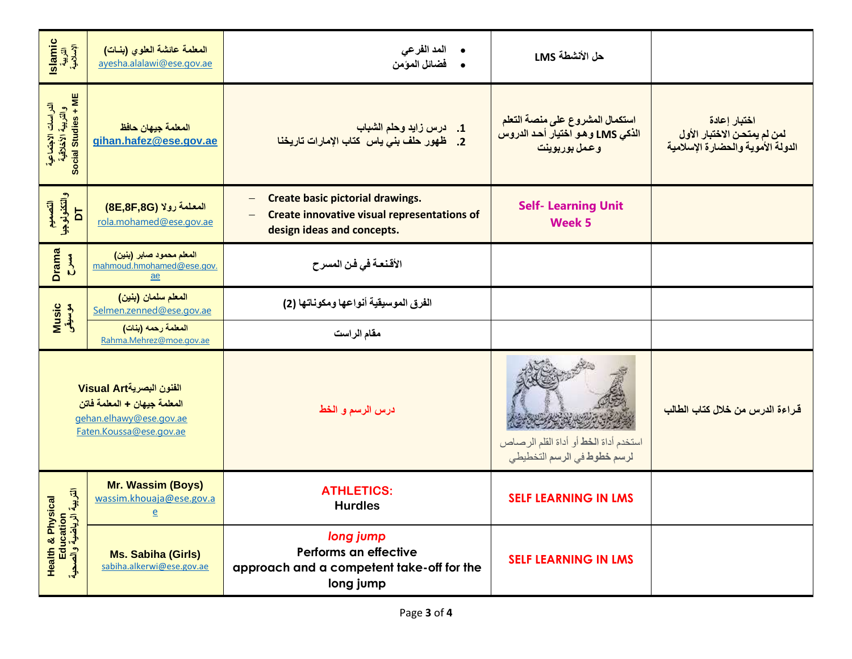| slamic<br>التربية<br>الإسلامية                                                                                 | المعلمة عائشة العلوى (بنات)<br>ayesha.alalawi@ese.gov.ae                  | المد الفر عي<br>فضائل المؤمن                                                                                                                                                 | حل الأنشطة LMS                                                                       |                                                                                  |
|----------------------------------------------------------------------------------------------------------------|---------------------------------------------------------------------------|------------------------------------------------------------------------------------------------------------------------------------------------------------------------------|--------------------------------------------------------------------------------------|----------------------------------------------------------------------------------|
| الدراسات الاجتماعية<br>والتربية الأخلاقية<br>Social Studies + ME                                               | المعلمة جيهان حافظ<br>gihan.hafez@ese.gov.ae                              | 1. درس زايد وحلم الشباب<br>2. ظهور حلف بني ياس كتاب الإمارات تاريخنا                                                                                                         | استكمال المشروع على منصة التعلم<br>الذكي LMS و هو اختيار أحد الدروس<br>وعمل بوربوينت | اختبار إعادة<br>لمن لم يمتحن الاختبار الأول<br>الدولة الأموية والحضارة الإسلامية |
| التصعيم<br>والتكذولوجيا<br>77                                                                                  | المعلمة رولا (8E,8F,8G)<br>rola.mohamed@ese.gov.ae                        | Create basic pictorial drawings.<br>$\overline{\phantom{0}}$<br><b>Create innovative visual representations of</b><br>$\overline{\phantom{0}}$<br>design ideas and concepts. | <b>Self- Learning Unit</b><br><b>Week 5</b>                                          |                                                                                  |
| Drama<br>$\sum_{i=1}^{n}$                                                                                      | المعلم محمود صابر (بنين)<br>mahmoud.hmohamed@ese.gov.<br>$\underline{ae}$ | الأقنعة في فن المسرح                                                                                                                                                         |                                                                                      |                                                                                  |
| Music<br>موسیقی                                                                                                | المعلم سلمان (بنين)<br>Selmen.zenned@ese.gov.ae                           | الفرق الموسيقية أنواعها ومكوناتها (2)                                                                                                                                        |                                                                                      |                                                                                  |
|                                                                                                                | المعلمة رحمه (بنات)<br>Rahma.Mehrez@moe.gov.ae                            | مقام الراست                                                                                                                                                                  |                                                                                      |                                                                                  |
| الفنون البصريةVisual Art<br>المعلمة جيهان + المعلمة فاتن<br>gehan.elhawy@ese.gov.ae<br>Faten.Koussa@ese.gov.ae |                                                                           | درس الرسم و الخط                                                                                                                                                             | استخدم أداة الخط أو أداة القلم الرصاص<br>لرسم خطوط في الرسم التخطيطي                 | قراءة الدرس من خلال كتاب الطالب                                                  |
| 司子<br>cal                                                                                                      | Mr. Wassim (Boys)<br>wassim.khouaja@ese.gov.a<br>$\mathbf{e}$             | <b>ATHLETICS:</b><br><b>Hurdles</b>                                                                                                                                          | <b>SELF LEARNING IN LMS</b>                                                          |                                                                                  |
| <b>Health &amp; Physic</b><br>Education<br>الرياضية والصحية                                                    | <b>Ms. Sabiha (Girls)</b><br>sabiha.alkerwi@ese.gov.ae                    | long jump<br>Performs an effective<br>approach and a competent take-off for the<br>long jump                                                                                 | <b>SELF LEARNING IN LMS</b>                                                          |                                                                                  |